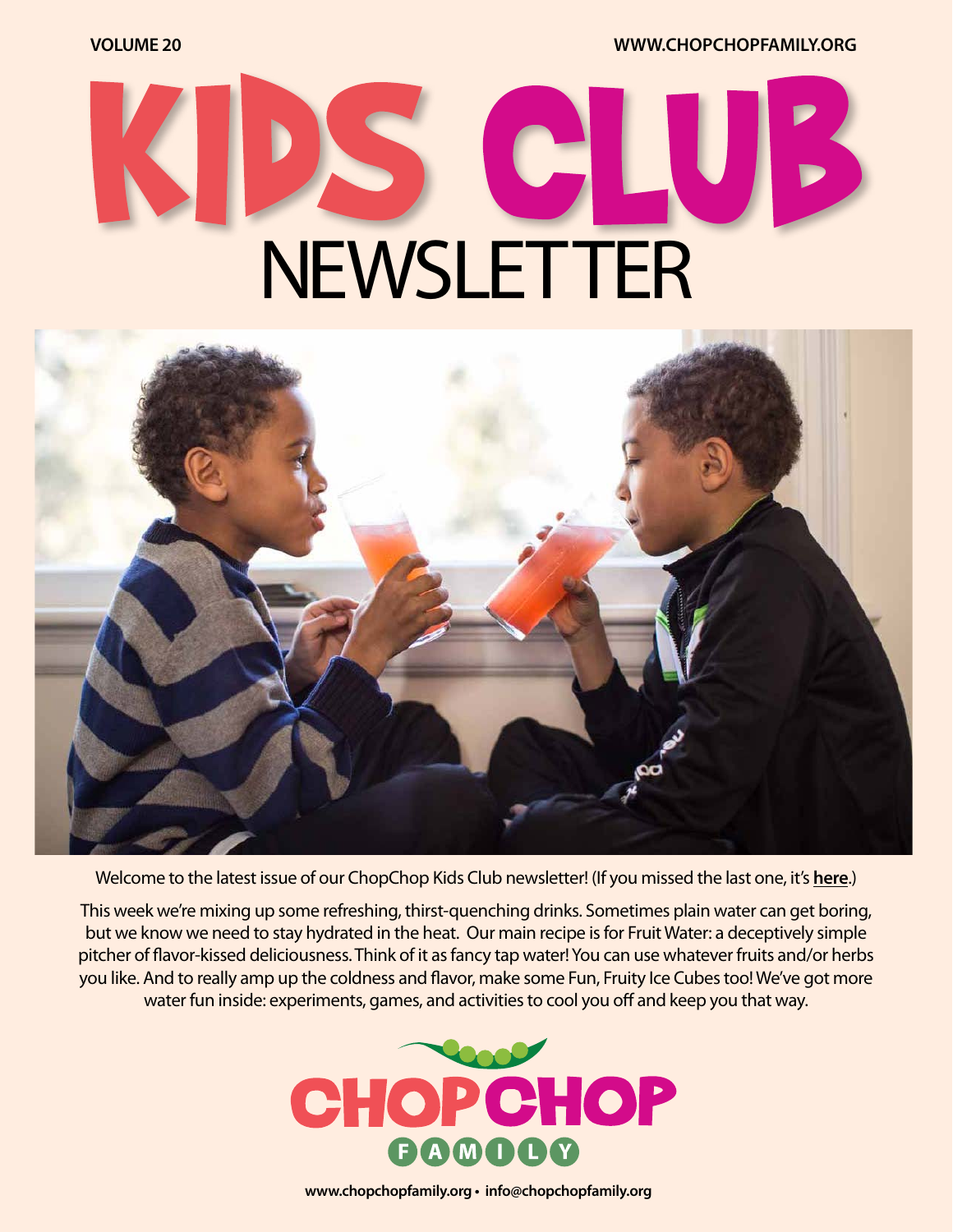**VOLUME 20 [WWW.CHOPCHOPFAMILY.ORG](https://www.chopchopfamily.org)**

# C NEWSLETTER



Welcome to the latest issue of our ChopChop Kids Club newsletter! [\(If you missed the last one, it's](https://mcusercontent.com/b1ea30ff4c07c4e770929e7f7/files/bcb2983a-4224-4a21-bfc7-5f07b01758dc/ccnewsletter19workingv03.pdf?utm_source=ChopChop+eNewsletter&utm_campaign=92bf8c8a5b-Week+19+-+Kids+Club&utm_medium=email&utm_term=0_c340ad3e58-92bf8c8a5b-91838109) **here**.)

This week we're mixing up some refreshing, thirst-quenching drinks. Sometimes plain water can get boring, but we know we need to stay hydrated in the heat. Our main recipe is for Fruit Water: a deceptively simple pitcher of flavor-kissed deliciousness. Think of it as fancy tap water! You can use whatever fruits and/or herbs you like. And to really amp up the coldness and flavor, make some Fun, Fruity Ice Cubes too! We've got more water fun inside: experiments, games, and activities to cool you off and keep you that way.



**[www.chopchopfamily.org](https://www.chopchopfamily.org) • [info@chopchopfamily.org](mailto:info@chopchopfamily.org)**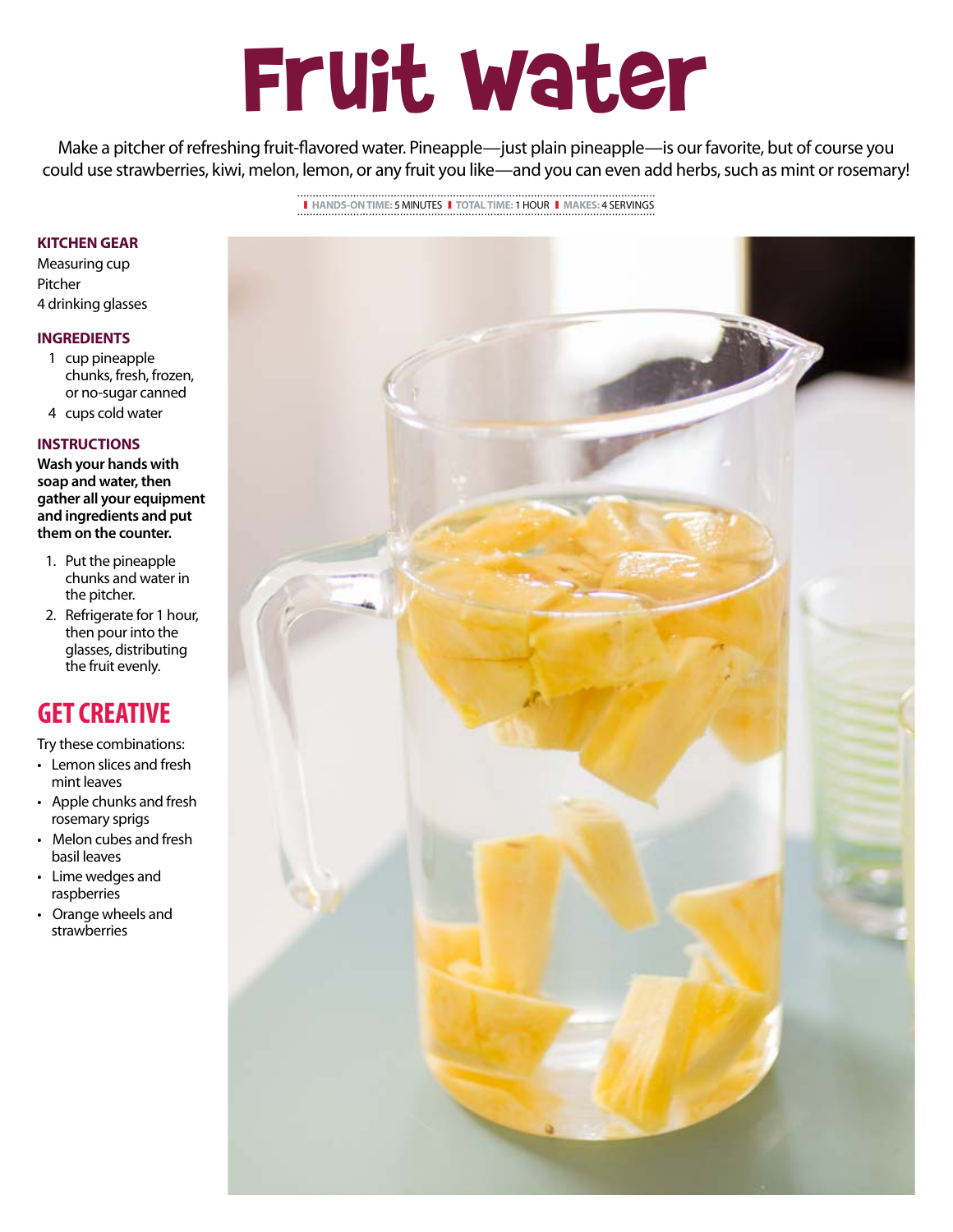## Fruit Water

Make a pitcher of refreshing fruit-flavored water. Pineapple—just plain pineapple—is our favorite, but of course you could use strawberries, kiwi, melon, lemon, or any fruit you like—and you can even add herbs, such as mint or rosemary!

> ❚ **HANDS-ON TIME:** 5 MINUTES❚ **TOTAL TIME:** 1 HOUR ❚ **MAKES:** 4 SERVINGS

#### **KITCHEN GEAR**

Measuring cup Pitcher 4 drinking glasses

#### **INGREDIENTS**

- 1 cup pineapple chunks, fresh, frozen, or no-sugar canned
- 4 cups cold water

#### **INSTRUCTIONS**

**Wash your hands with soap and water, then gather all your equipment and ingredients and put them on the counter.**

- 1. Put the pineapple chunks and water in the pitcher.
- 2. Refrigerate for 1 hour, then pour into the glasses, distributing the fruit evenly.

## **GET CREATIVE**

Try these combinations:

- Lemon slices and fresh mint leaves
- Apple chunks and fresh rosemary sprigs
- Melon cubes and fresh basil leaves
- Lime wedges and raspberries
- Orange wheels and strawberries

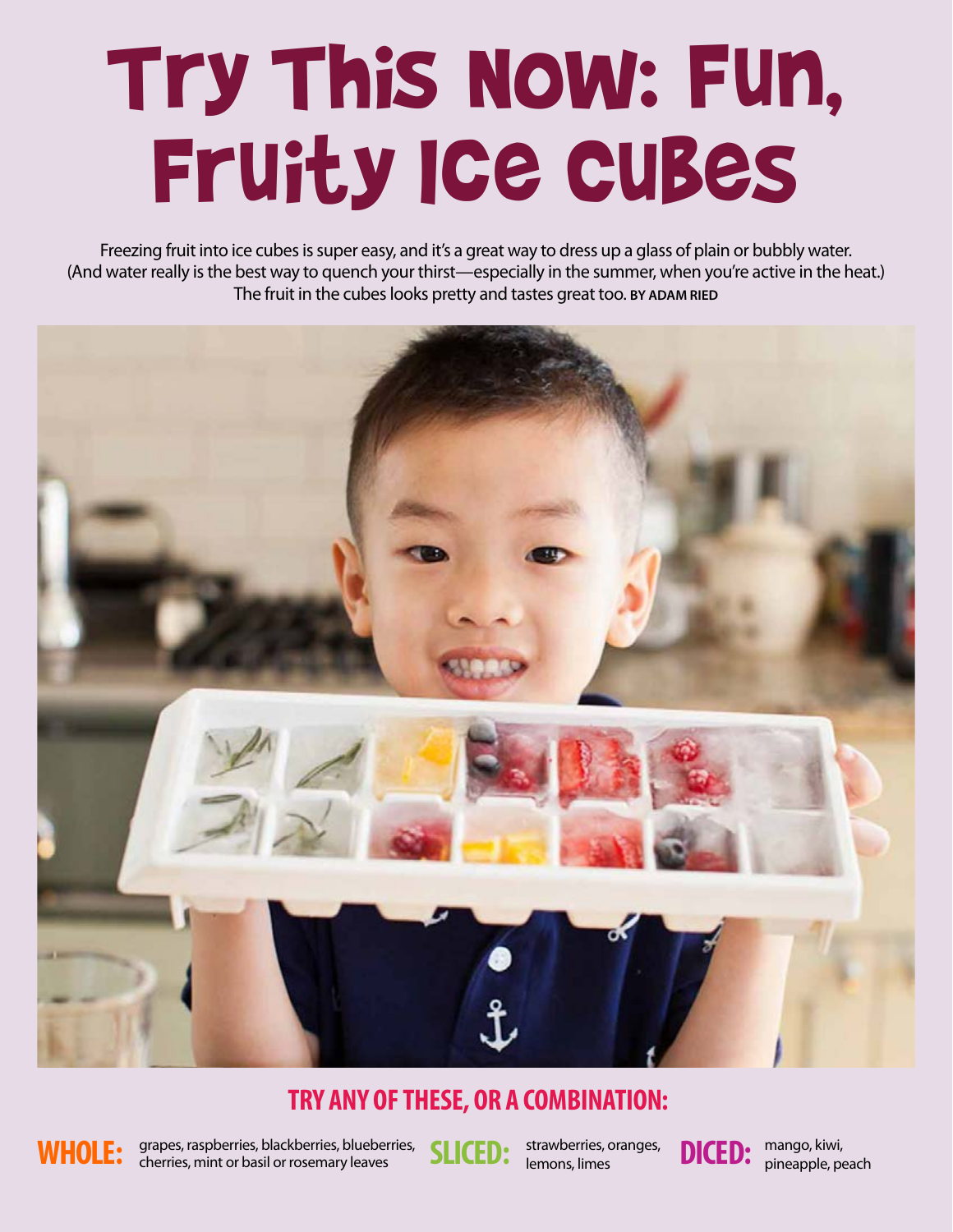## Try This Now: Fun, Fruity Ice Cubes

Freezing fruit into ice cubes is super easy, and it's a great way to dress up a glass of plain or bubbly water. (And water really is the best way to quench your thirst—especially in the summer, when you're active in the heat.) The fruit in the cubes looks pretty and tastes great too. **BY ADAM RIED**



### **TRY ANY OF THESE, OR A COMBINATION:**



WHOLE: grapes, raspberries, blackberries, blueberries, SLICED: strawberries, oranges, **DICED:** cherries, mint or basil or rosemary leaves

strawberries, oranges, lemons, limes



mango, kiwi, pineapple, peach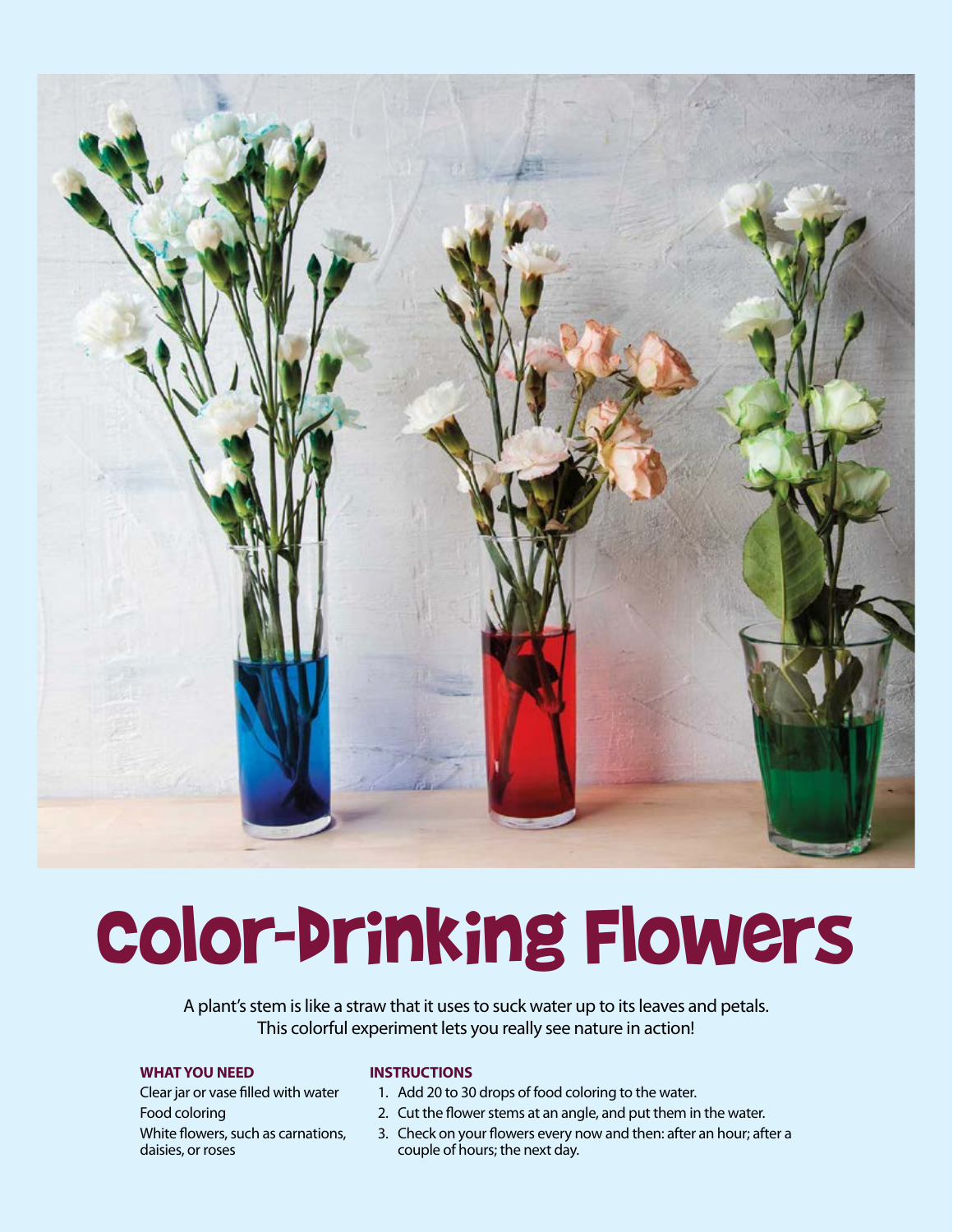

## Color-drinking Flowers

A plant's stem is like a straw that it uses to suck water up to its leaves and petals. This colorful experiment lets you really see nature in action!

#### **WHAT YOU NEED**

Clear jar or vase filled with water Food coloring White flowers, such as carnations, daisies, or roses

#### **INSTRUCTIONS**

- 1. Add 20 to 30 drops of food coloring to the water.
- 2. Cut the flower stems at an angle, and put them in the water.
- 3. Check on your flowers every now and then: after an hour; after a couple of hours; the next day.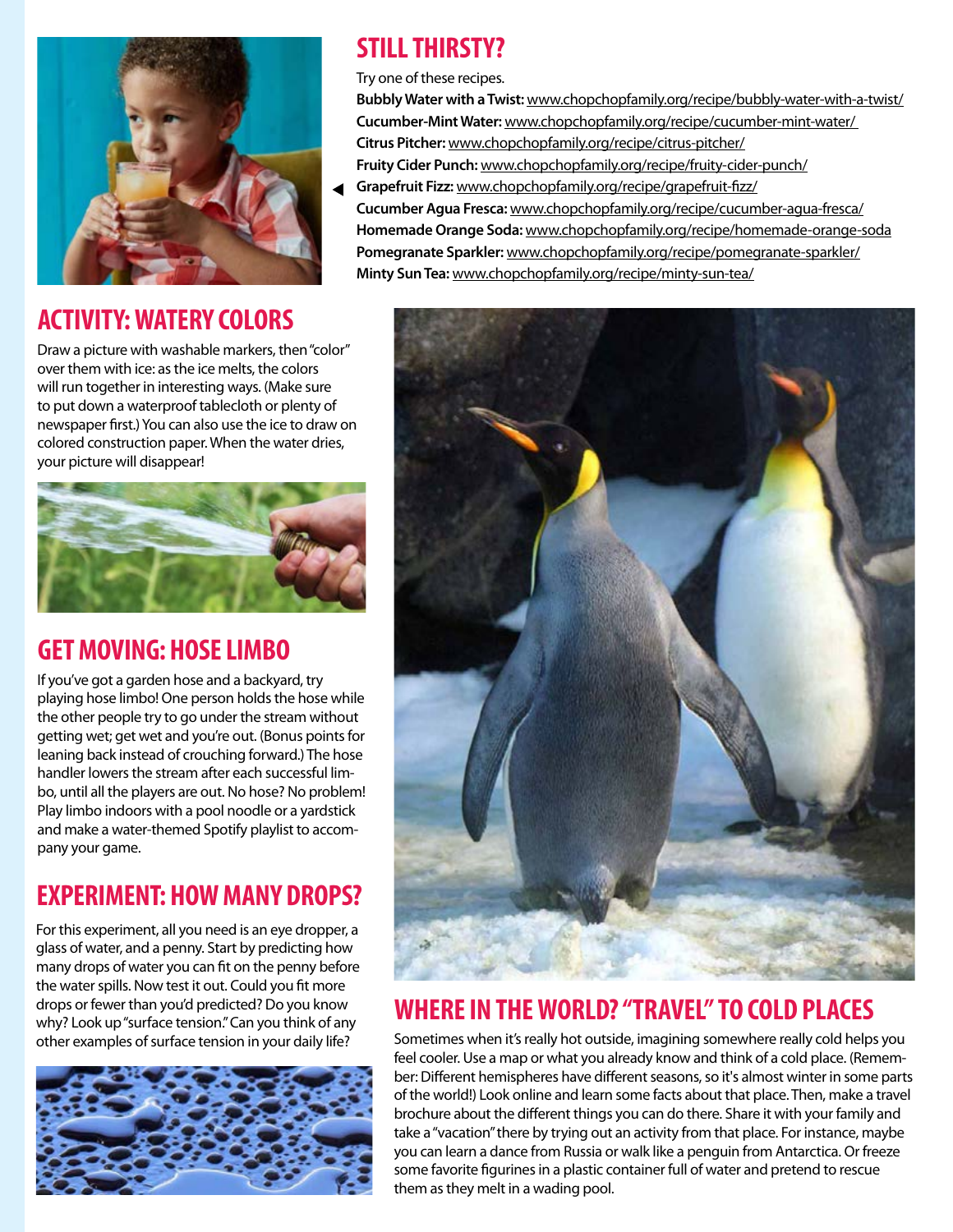

## **ACTIVITY: WATERY COLORS**

Draw a picture with washable markers, then "color" over them with ice: as the ice melts, the colors will run together in interesting ways. (Make sure to put down a waterproof tablecloth or plenty of newspaper first.) You can also use the ice to draw on colored construction paper. When the water dries, your picture will disappear!



## **GET MOVING: HOSE LIMBO**

If you've got a garden hose and a backyard, try playing hose limbo! One person holds the hose while the other people try to go under the stream without getting wet; get wet and you're out. (Bonus points for leaning back instead of crouching forward.) The hose handler lowers the stream after each successful limbo, until all the players are out. No hose? No problem! Play limbo indoors with a pool noodle or a yardstick and make a water-themed Spotify playlist to accompany your game.

## **EXPERIMENT: HOW MANY DROPS?**

For this experiment, all you need is an eye dropper, a glass of water, and a penny. Start by predicting how many drops of water you can fit on the penny before the water spills. Now test it out. Could you fit more drops or fewer than you'd predicted? Do you know why? Look up "surface tension." Can you think of any other examples of surface tension in your daily life?



## **STILL THIRSTY?**

Try one of these recipes.

**Bubbly Water with a Twist:** www.chopchopfamily.org/recipe/bubbly-water-with-a-twist/ **Cucumber-Mint Water:** www.chopchopfamily.org/recipe/cucumber-mint-water/ **Citrus Pitcher:** www.chopchopfamily.org/recipe/citrus-pitcher/ **Fruity Cider Punch:** www.chopchopfamily.org/recipe/fruity-cider-punch/

**Grapefruit Fizz:** www.chopchopfamily.org/recipe/grapefruit-fizz/ **Cucumber Agua Fresca:** www.chopchopfamily.org/recipe/cucumber-agua-fresca/ **Homemade Orange Soda:** www.chopchopfamily.org/recipe/homemade-orange-soda **Pomegranate Sparkler:** www.chopchopfamily.org/recipe/pomegranate-sparkler/ **Minty Sun Tea:** www.chopchopfamily.org/recipe/minty-sun-tea/



## **WHERE IN THE WORLD? "TRAVEL" TO COLD PLACES**

Sometimes when it's really hot outside, imagining somewhere really cold helps you feel cooler. Use a map or what you already know and think of a cold place. (Remember: Different hemispheres have different seasons, so it's almost winter in some parts of the world!) Look online and learn some facts about that place. Then, make a travel brochure about the different things you can do there. Share it with your family and take a "vacation" there by trying out an activity from that place. For instance, maybe you can learn a dance from Russia or walk like a penguin from Antarctica. Or freeze some favorite figurines in a plastic container full of water and pretend to rescue them as they melt in a wading pool.